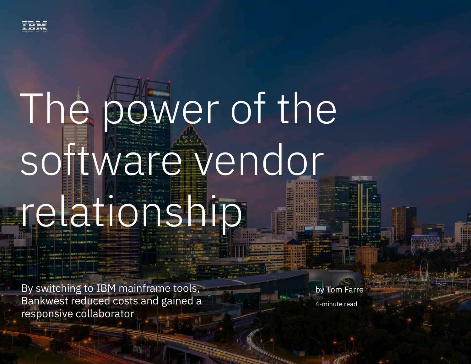

# The power of the software vendor

## relationship

By switching to IBM mainframe tools, Bankwest reduced costs and gained a responsive collaborator

by Tom Farre 4-minute read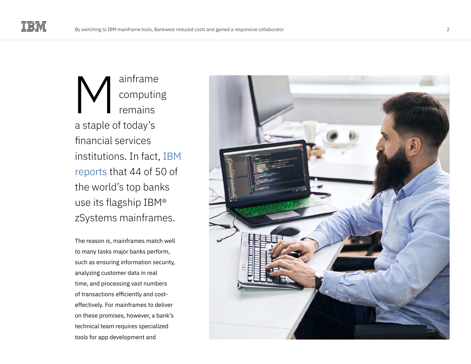ainframe computing remains a staple of today's financial services institutions. In fact, [IBM](https://www.ibm.com/it-infrastructure/z/resources/banking)  [reports](https://www.ibm.com/it-infrastructure/z/resources/banking) that 44 of 50 of the world's top banks use its flagship IBM® zSystems mainframes. ainframe<br>
computin<br>
remains<br>
a staple of today's<br>
financial services<br>
institutions. In fact<br>
reports that 44 of !<br>
the world's top bar<br>
use its flagship IBM<br>
zSystems mainframes mat<br>
to many tasks major banks perf<br>
such as

The reason is, mainframes match well to many tasks major banks perform, such as ensuring information security, analyzing customer data in real time, and processing vast numbers of transactions efficiently and costeffectively. For mainframes to deliver on these promises, however, a bank's technical team requires specialized

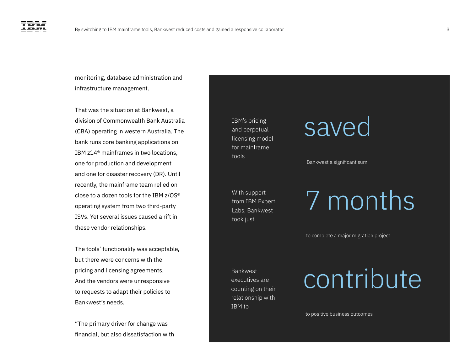monitoring, database administration and infrastructure management.

That was the situation at Bankwest, a division of Commonwealth Bank Australia (CBA) operating in western Australia. The bank runs core banking applications on IBM z14® mainframes in two locations, one for production and development and one for disaster recovery (DR). Until recently, the mainframe team relied on close to a dozen tools for the IBM z/OS® operating system from two third-party ISVs. Yet several issues caused a rift in these vendor relationships.

The tools' functionality was acceptable, but there were concerns with the pricing and licensing agreements. And the vendors were unresponsive to requests to adapt their policies to Bankwest's needs.

"The primary driver for change was financial, but also dissatisfaction with

IBM's pricing and perpetual licensing model for mainframe tools

With support from IBM Expert Labs, Bankwest took just

### saved

Bankwest a significant sum

7 months

to complete a major migration project

executives are counting on their relationship with IBM to

### $\mathsf{C}$   $\mathsf{C}$   $\mathsf{C}$   $\mathsf{C}$   $\mathsf{C}$   $\mathsf{C}$   $\mathsf{C}$   $\mathsf{C}$   $\mathsf{C}$   $\mathsf{C}$   $\mathsf{C}$   $\mathsf{C}$

to positive business outcomes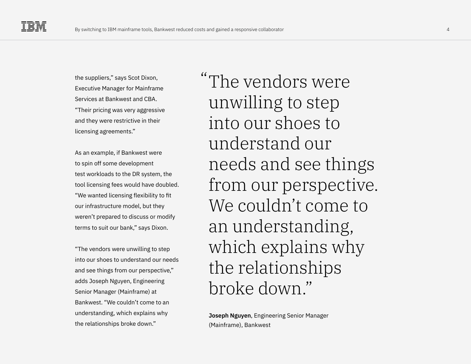the suppliers," says Scot Dixon, Executive Manager for Mainframe Services at Bankwest and CBA. "Their pricing was very aggressive and they were restrictive in their licensing agreements."

As an example, if Bankwest were to spin off some development test workloads to the DR system, the tool licensing fees would have doubled. "We wanted licensing flexibility to fit our infrastructure model, but they weren't prepared to discuss or modify terms to suit our bank," says Dixon.

"The vendors were unwilling to step into our shoes to understand our needs and see things from our perspective," adds Joseph Nguyen, Engineering Senior Manager (Mainframe) at Bankwest. "We couldn't come to an understanding, which explains why the relationships broke down."

The vendors were "unwilling to step into our shoes to understand our needs and see things from our perspective. We couldn't come to an understanding, which explains why the relationships broke down."

**Joseph Nguyen**, Engineering Senior Manager (Mainframe), Bankwest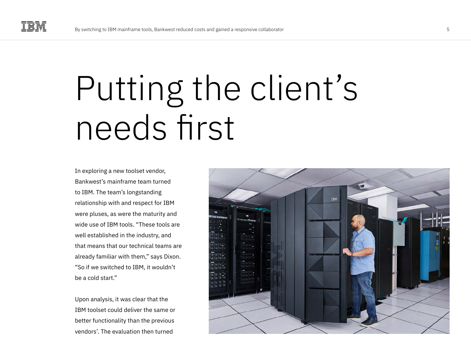### Putting the client's needs first

In exploring a new toolset vendor, Bankwest's mainframe team turned to IBM. The team's longstanding relationship with and respect for IBM were pluses, as were the maturity and wide use of IBM tools. "These tools are well established in the industry, and that means that our technical teams are already familiar with them," says Dixon. "So if we switched to IBM, it wouldn't be a cold start."

Upon analysis, it was clear that the IBM toolset could deliver the same or better functionality than the previous vendors'. The evaluation then turned

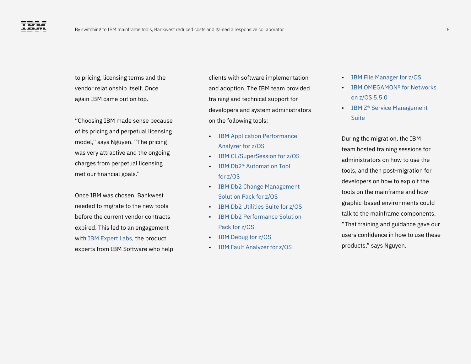to pricing, licensing terms and the vendor relationship itself. Once again IBM came out on top.

"Choosing IBM made sense because of its pricing and perpetual licensing model," says Nguyen. "The pricing was very attractive and the ongoing charges from perpetual licensing met our financial goals."

Once IBM was chosen, Bankwest needed to migrate to the new tools before the current vendor contracts expired. This led to an engagement with [IBM Expert Labs](https://www.ibm.com/products/expertlabs), the product experts from IBM Software who help clients with software implementation and adoption. The IBM team provided training and technical support for developers and system administrators on the following tools:

- [IBM Application Performance](https://www.ibm.com/products/application-performance-analyzer)  [Analyzer for z/OS](https://www.ibm.com/products/application-performance-analyzer)
- [IBM CL/SuperSession for z/OS](https://www.ibm.com/common/ssi/ShowDoc.wss?docURL=/common/ssi/rep_ca/2/897/ENUS220-462/index.html)
- [IBM Db2® Automation Tool](https://www.ibm.com/docs/en/db2-autotool/4.3.0?topic=db2-automation-tool-overview)  [for z/OS](https://www.ibm.com/docs/en/db2-autotool/4.3.0?topic=db2-automation-tool-overview)
- [IBM Db2 Change Management](https://www.ibm.com/docs/en/dcmpfz/1.1.0?topic=customization-db2-change-management-solution-pack-overview)  [Solution Pack for z/OS](https://www.ibm.com/docs/en/dcmpfz/1.1.0?topic=customization-db2-change-management-solution-pack-overview)
- [IBM Db2 Utilities Suite for z/OS](https://www.ibm.com/docs/en/deusfz/2.2.0?topic=db2-extended-utilities-suite-overview)
- [IBM Db2 Performance Solution](https://www.ibm.com/products/db2-performance-solution-pack-for-zos)  [Pack for z/OS](https://www.ibm.com/products/db2-performance-solution-pack-for-zos)
- [IBM Debug for z/OS](https://www.ibm.com/products/debug-for-zos)
- [IBM Fault Analyzer for z/OS](https://www.ibm.com/products/fault-analyzer-for-zos)
- [IBM File Manager for z/OS](https://www.ibm.com/products/file-manager-for-zos)
- [IBM OMEGAMON® for Networks](https://www.ibm.com/common/ssi/ShowDoc.wss?docURL=/common/ssi/rep_sm/3/897/ENUS5698-T03/index.html)  [on z/OS 5.5.0](https://www.ibm.com/common/ssi/ShowDoc.wss?docURL=/common/ssi/rep_sm/3/897/ENUS5698-T03/index.html)
- [IBM Z® Service Management](https://www.ibm.com/products/z-service-management-suite)  **[Suite](https://www.ibm.com/products/z-service-management-suite)**

During the migration, the IBM team hosted training sessions for administrators on how to use the tools, and then post-migration for developers on how to exploit the tools on the mainframe and how graphic-based environments could talk to the mainframe components. "That training and guidance gave our users confidence in how to use these products," says Nguyen.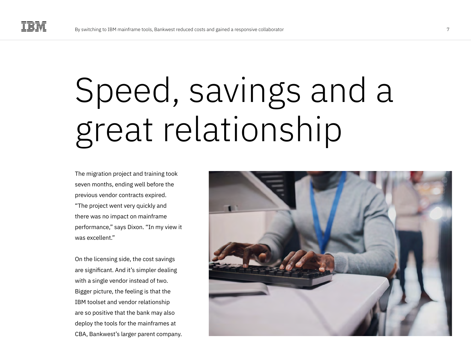## Speed, savings and a great relationship

The migration project and training took seven months, ending well before the previous vendor contracts expired. "The project went very quickly and there was no impact on mainframe performance," says Dixon. "In my view it was excellent."

On the licensing side, the cost savings are significant. And it's simpler dealing with a single vendor instead of two. Bigger picture, the feeling is that the IBM toolset and vendor relationship are so positive that the bank may also deploy the tools for the mainframes at CBA, Bankwest's larger parent company.

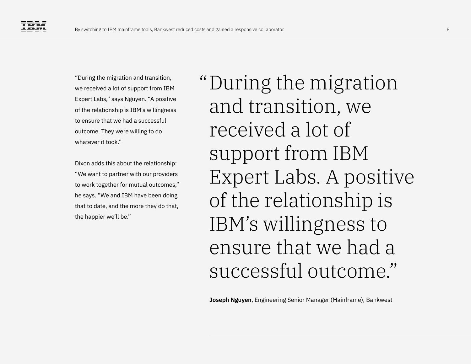"During the migration and transition, we received a lot of support from IBM Expert Labs," says Nguyen. "A positive of the relationship is IBM's willingness to ensure that we had a successful outcome. They were willing to do whatever it took."

Dixon adds this about the relationship: "We want to partner with our providers to work together for mutual outcomes," he says. "We and IBM have been doing that to date, and the more they do that, the happier we'll be."

During the migration "and transition, we received a lot of support from IBM Expert Labs. A positive of the relationship is IBM's willingness to ensure that we had a successful outcome."

**Joseph Nguyen**, Engineering Senior Manager (Mainframe), Bankwest